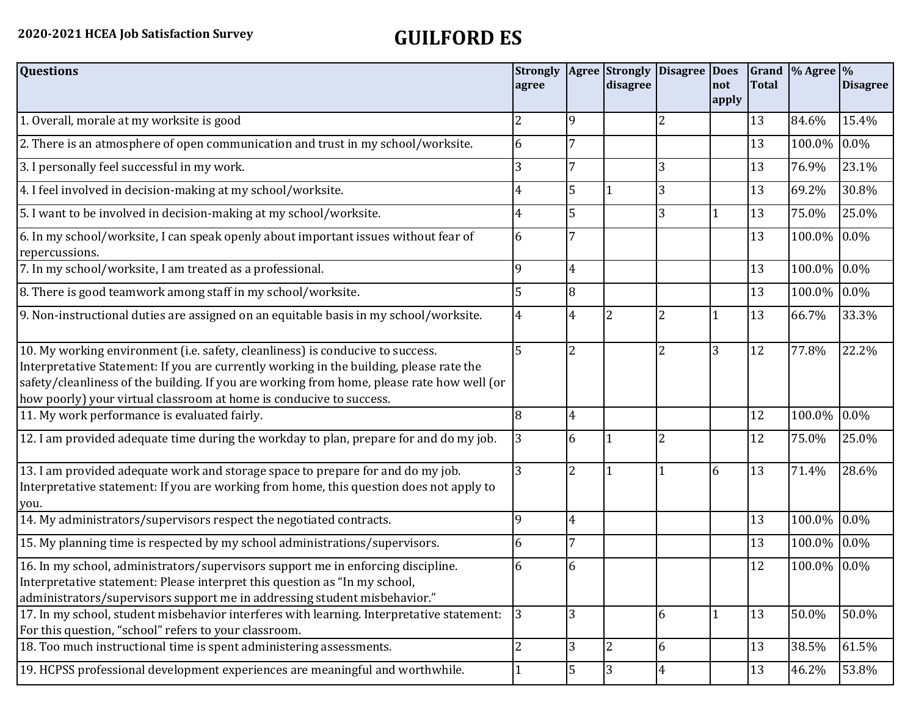| <b>Questions</b>                                                                                                                                                                                                                                                                                                                               | <b>Strongly</b><br>agree |                | Agree Strongly<br>disagree | <b>Disagree Does</b> | not<br>apply   | <b>Total</b> | Grand $\frac{9}{6}$ Agree $\frac{9}{6}$ | <b>Disagree</b> |
|------------------------------------------------------------------------------------------------------------------------------------------------------------------------------------------------------------------------------------------------------------------------------------------------------------------------------------------------|--------------------------|----------------|----------------------------|----------------------|----------------|--------------|-----------------------------------------|-----------------|
| 1. Overall, morale at my worksite is good                                                                                                                                                                                                                                                                                                      | 2                        | 9              |                            | $\overline{2}$       |                | 13           | 84.6%                                   | 15.4%           |
| 2. There is an atmosphere of open communication and trust in my school/worksite.                                                                                                                                                                                                                                                               | 6                        | 7              |                            |                      |                | 13           | 100.0%                                  | 0.0%            |
| 3. I personally feel successful in my work.                                                                                                                                                                                                                                                                                                    | 3                        |                |                            | 3                    |                | 13           | 76.9%                                   | 23.1%           |
| 4. I feel involved in decision-making at my school/worksite.                                                                                                                                                                                                                                                                                   | 4                        | 5              |                            | 3                    |                | 13           | 69.2%                                   | 30.8%           |
| 5. I want to be involved in decision-making at my school/worksite.                                                                                                                                                                                                                                                                             | 4                        | 5              |                            | 3                    | 1              | 13           | 75.0%                                   | 25.0%           |
| 6. In my school/worksite, I can speak openly about important issues without fear of<br>repercussions.                                                                                                                                                                                                                                          | 6                        |                |                            |                      |                | 13           | 100.0%                                  | $0.0\%$         |
| 7. In my school/worksite, I am treated as a professional.                                                                                                                                                                                                                                                                                      | 9                        | $\overline{4}$ |                            |                      |                | 13           | 100.0%                                  | $0.0\%$         |
| 8. There is good teamwork among staff in my school/worksite.                                                                                                                                                                                                                                                                                   | 5                        | 8              |                            |                      |                | 13           | 100.0%                                  | 0.0%            |
| 9. Non-instructional duties are assigned on an equitable basis in my school/worksite.                                                                                                                                                                                                                                                          | 4                        | 4              | $\overline{2}$             | 2                    |                | 13           | 66.7%                                   | 33.3%           |
| 10. My working environment (i.e. safety, cleanliness) is conducive to success.<br>Interpretative Statement: If you are currently working in the building, please rate the<br>safety/cleanliness of the building. If you are working from home, please rate how well (or<br>how poorly) your virtual classroom at home is conducive to success. | 5                        | $\overline{2}$ |                            | $\overline{2}$       | 3              | 12           | 77.8%                                   | 22.2%           |
| 11. My work performance is evaluated fairly.                                                                                                                                                                                                                                                                                                   | 8                        | $\overline{4}$ |                            |                      |                | 12           | 100.0%                                  | 0.0%            |
| 12. I am provided adequate time during the workday to plan, prepare for and do my job.                                                                                                                                                                                                                                                         | 3                        | 6              |                            | $\overline{2}$       |                | 12           | 75.0%                                   | 25.0%           |
| 13. I am provided adequate work and storage space to prepare for and do my job.<br>Interpretative statement: If you are working from home, this question does not apply to<br>you.                                                                                                                                                             | 3                        | 2              |                            |                      | 6              | 13           | 71.4%                                   | 28.6%           |
| 14. My administrators/supervisors respect the negotiated contracts.                                                                                                                                                                                                                                                                            | 9                        | $\overline{4}$ |                            |                      |                | 13           | 100.0%                                  | 0.0%            |
| 15. My planning time is respected by my school administrations/supervisors.                                                                                                                                                                                                                                                                    | 6                        | 7              |                            |                      |                | 13           | 100.0%                                  | 0.0%            |
| 16. In my school, administrators/supervisors support me in enforcing discipline.<br>Interpretative statement: Please interpret this question as "In my school,<br>administrators/supervisors support me in addressing student misbehavior."                                                                                                    | 6                        | 6              |                            |                      |                | 12           | 100.0%                                  | $0.0\%$         |
| 17. In my school, student misbehavior interferes with learning. Interpretative statement:<br>For this question, "school" refers to your classroom.                                                                                                                                                                                             | 3                        | 3              |                            | 6                    | $\overline{1}$ | 13           | 50.0%                                   | 50.0%           |
| 18. Too much instructional time is spent administering assessments.                                                                                                                                                                                                                                                                            | $\overline{2}$           | 3              | $\overline{2}$             | 6                    |                | 13           | 38.5%                                   | 61.5%           |
| 19. HCPSS professional development experiences are meaningful and worthwhile.                                                                                                                                                                                                                                                                  |                          | 5              | $\overline{3}$             | $\overline{4}$       |                | 13           | 46.2%                                   | 53.8%           |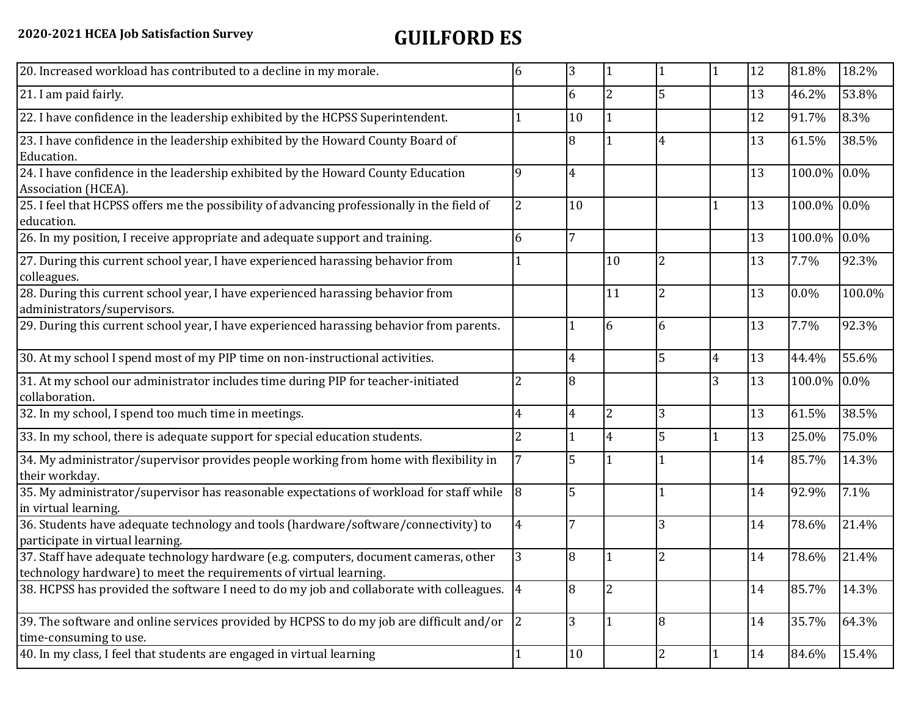| 20. Increased workload has contributed to a decline in my morale.                                                                                          | 6              | 3              |                |                |                | 12 | 81.8%       | 18.2%   |
|------------------------------------------------------------------------------------------------------------------------------------------------------------|----------------|----------------|----------------|----------------|----------------|----|-------------|---------|
| 21. I am paid fairly.                                                                                                                                      |                | 6              | $\overline{2}$ | 5              |                | 13 | 46.2%       | 53.8%   |
| 22. I have confidence in the leadership exhibited by the HCPSS Superintendent.                                                                             |                | 10             |                |                |                | 12 | 91.7%       | 8.3%    |
| 23. I have confidence in the leadership exhibited by the Howard County Board of<br>Education.                                                              |                | 8              |                | 4              |                | 13 | 61.5%       | 38.5%   |
| 24. I have confidence in the leadership exhibited by the Howard County Education<br>Association (HCEA).                                                    | 9              | 4              |                |                |                | 13 | 100.0% 0.0% |         |
| 25. I feel that HCPSS offers me the possibility of advancing professionally in the field of<br>education.                                                  | $\overline{2}$ | 10             |                |                |                | 13 | 100.0%      | $0.0\%$ |
| 26. In my position, I receive appropriate and adequate support and training.                                                                               | 6              | 7              |                |                |                | 13 | 100.0%      | $0.0\%$ |
| 27. During this current school year, I have experienced harassing behavior from<br>colleagues.                                                             |                |                | 10             | $\overline{2}$ |                | 13 | 7.7%        | 92.3%   |
| 28. During this current school year, I have experienced harassing behavior from<br>administrators/supervisors.                                             |                |                | 11             | $\overline{2}$ |                | 13 | 0.0%        | 100.0%  |
| 29. During this current school year, I have experienced harassing behavior from parents.                                                                   |                |                | 6              | 6              |                | 13 | 7.7%        | 92.3%   |
| 30. At my school I spend most of my PIP time on non-instructional activities.                                                                              |                | 4              |                | 5              | $\overline{4}$ | 13 | 44.4%       | 55.6%   |
| 31. At my school our administrator includes time during PIP for teacher-initiated<br>collaboration.                                                        | 2              | 8              |                |                | 3              | 13 | 100.0%      | $0.0\%$ |
| 32. In my school, I spend too much time in meetings.                                                                                                       | 4              | $\overline{4}$ | $\overline{2}$ | 3              |                | 13 | 61.5%       | 38.5%   |
| 33. In my school, there is adequate support for special education students.                                                                                | $\overline{2}$ |                | 4              | 5              |                | 13 | 25.0%       | 75.0%   |
| 34. My administrator/supervisor provides people working from home with flexibility in<br>their workday.                                                    |                | 5              |                |                |                | 14 | 85.7%       | 14.3%   |
| 35. My administrator/supervisor has reasonable expectations of workload for staff while<br>in virtual learning.                                            | $\overline{8}$ | 5              |                | $\mathbf{1}$   |                | 14 | 92.9%       | 7.1%    |
| 36. Students have adequate technology and tools (hardware/software/connectivity) to<br>participate in virtual learning.                                    | $\overline{4}$ | 7              |                | 3              |                | 14 | 78.6%       | 21.4%   |
| 37. Staff have adequate technology hardware (e.g. computers, document cameras, other<br>technology hardware) to meet the requirements of virtual learning. | 3              | 8              |                | $\overline{2}$ |                | 14 | 78.6%       | 21.4%   |
| 38. HCPSS has provided the software I need to do my job and collaborate with colleagues. 4                                                                 |                | 8              | $\overline{2}$ |                |                | 14 | 85.7%       | 14.3%   |
| 39. The software and online services provided by HCPSS to do my job are difficult and/or<br>time-consuming to use.                                         | $ 2\rangle$    | 3              |                | $\overline{8}$ |                | 14 | 35.7%       | 64.3%   |
| 40. In my class, I feel that students are engaged in virtual learning                                                                                      |                | 10             |                | $\overline{2}$ |                | 14 | 84.6%       | 15.4%   |
|                                                                                                                                                            |                |                |                |                |                |    |             |         |